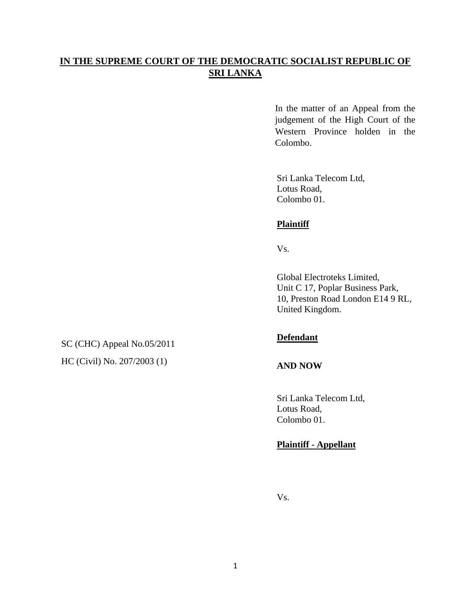# **IN THE SUPREME COURT OF THE DEMOCRATIC SOCIALIST REPUBLIC OF SRI LANKA**

In the matter of an Appeal from the judgement of the High Court of the Western Province holden in the Colombo.

Sri Lanka Telecom Ltd, Lotus Road, Colombo 01.

## **Plaintiff**

Vs.

Global Electroteks Limited, Unit C 17, Poplar Business Park, 10, Preston Road London E14 9 RL, United Kingdom.

SC (CHC) Appeal No.05/2011 HC (Civil) No. 207/2003 (1)

### **Defendant**

### **AND NOW**

Sri Lanka Telecom Ltd, Lotus Road, Colombo 01.

## **Plaintiff - Appellant**

Vs.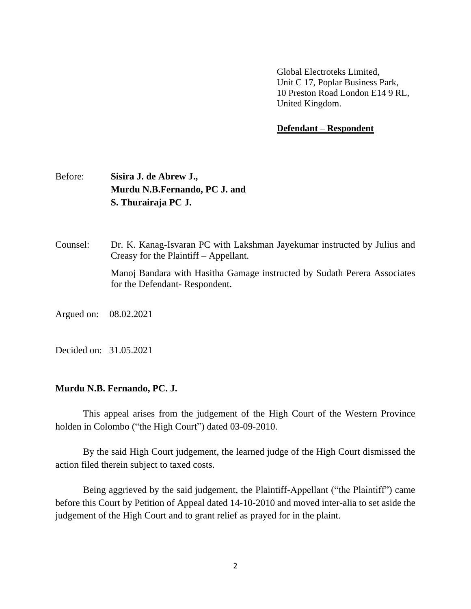Global Electroteks Limited, Unit C 17, Poplar Business Park, 10 Preston Road London E14 9 RL, United Kingdom.

### **Defendant – Respondent**

# Before: **Sisira J. de Abrew J., Murdu N.B.Fernando, PC J. and S. Thurairaja PC J.**

for the Defendant- Respondent.

Counsel: Dr. K. Kanag-Isvaran PC with Lakshman Jayekumar instructed by Julius and Creasy for the Plaintiff – Appellant. Manoj Bandara with Hasitha Gamage instructed by Sudath Perera Associates

Argued on: 08.02.2021

Decided on: 31.05.2021

#### **Murdu N.B. Fernando, PC. J.**

This appeal arises from the judgement of the High Court of the Western Province holden in Colombo ("the High Court") dated 03-09-2010.

By the said High Court judgement, the learned judge of the High Court dismissed the action filed therein subject to taxed costs.

Being aggrieved by the said judgement, the Plaintiff-Appellant ("the Plaintiff") came before this Court by Petition of Appeal dated 14-10-2010 and moved inter-alia to set aside the judgement of the High Court and to grant relief as prayed for in the plaint.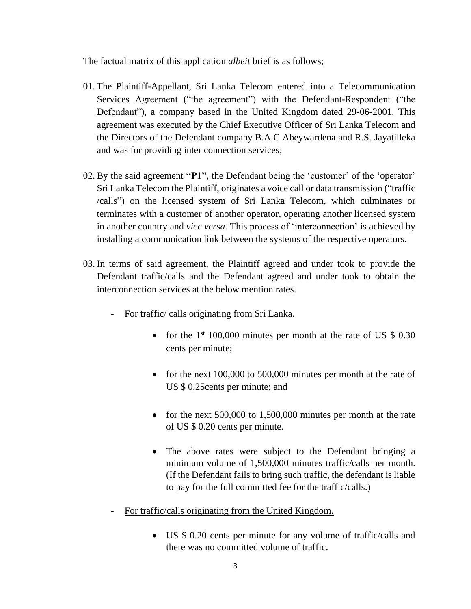The factual matrix of this application *albeit* brief is as follows;

- 01. The Plaintiff-Appellant, Sri Lanka Telecom entered into a Telecommunication Services Agreement ("the agreement") with the Defendant-Respondent ("the Defendant"), a company based in the United Kingdom dated 29-06-2001. This agreement was executed by the Chief Executive Officer of Sri Lanka Telecom and the Directors of the Defendant company B.A.C Abeywardena and R.S. Jayatilleka and was for providing inter connection services;
- 02. By the said agreement **"P1"**, the Defendant being the 'customer' of the 'operator' Sri Lanka Telecom the Plaintiff, originates a voice call or data transmission ("traffic /calls") on the licensed system of Sri Lanka Telecom, which culminates or terminates with a customer of another operator, operating another licensed system in another country and *vice versa.* This process of 'interconnection' is achieved by installing a communication link between the systems of the respective operators.
- 03. In terms of said agreement, the Plaintiff agreed and under took to provide the Defendant traffic/calls and the Defendant agreed and under took to obtain the interconnection services at the below mention rates.
	- For traffic/ calls originating from Sri Lanka.
		- for the  $1<sup>st</sup> 100,000$  minutes per month at the rate of US \$ 0.30 cents per minute;
		- for the next 100,000 to 500,000 minutes per month at the rate of US \$ 0.25cents per minute; and
		- for the next 500,000 to 1,500,000 minutes per month at the rate of US \$ 0.20 cents per minute.
		- The above rates were subject to the Defendant bringing a minimum volume of 1,500,000 minutes traffic/calls per month. (If the Defendant fails to bring such traffic, the defendant is liable to pay for the full committed fee for the traffic/calls.)
	- For traffic/calls originating from the United Kingdom.
		- US \$ 0.20 cents per minute for any volume of traffic/calls and there was no committed volume of traffic.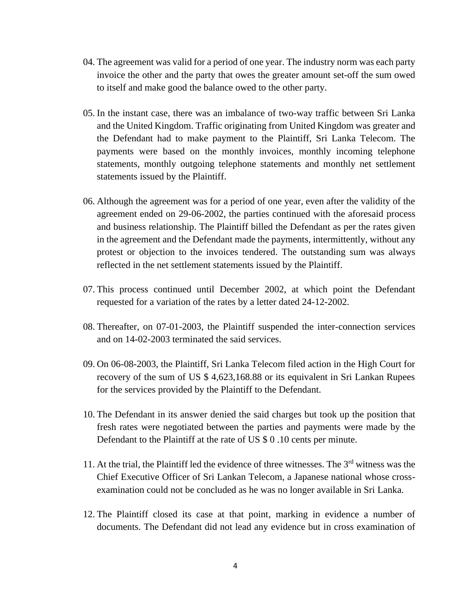- 04. The agreement was valid for a period of one year. The industry norm was each party invoice the other and the party that owes the greater amount set-off the sum owed to itself and make good the balance owed to the other party.
- 05. In the instant case, there was an imbalance of two-way traffic between Sri Lanka and the United Kingdom. Traffic originating from United Kingdom was greater and the Defendant had to make payment to the Plaintiff, Sri Lanka Telecom. The payments were based on the monthly invoices, monthly incoming telephone statements, monthly outgoing telephone statements and monthly net settlement statements issued by the Plaintiff.
- 06. Although the agreement was for a period of one year, even after the validity of the agreement ended on 29-06-2002, the parties continued with the aforesaid process and business relationship. The Plaintiff billed the Defendant as per the rates given in the agreement and the Defendant made the payments, intermittently, without any protest or objection to the invoices tendered. The outstanding sum was always reflected in the net settlement statements issued by the Plaintiff.
- 07. This process continued until December 2002, at which point the Defendant requested for a variation of the rates by a letter dated 24-12-2002.
- 08. Thereafter, on 07-01-2003, the Plaintiff suspended the inter-connection services and on 14-02-2003 terminated the said services.
- 09. On 06-08-2003, the Plaintiff, Sri Lanka Telecom filed action in the High Court for recovery of the sum of US \$ 4,623,168.88 or its equivalent in Sri Lankan Rupees for the services provided by the Plaintiff to the Defendant.
- 10. The Defendant in its answer denied the said charges but took up the position that fresh rates were negotiated between the parties and payments were made by the Defendant to the Plaintiff at the rate of US \$ 0 .10 cents per minute.
- 11. At the trial, the Plaintiff led the evidence of three witnesses. The 3rd witness was the Chief Executive Officer of Sri Lankan Telecom, a Japanese national whose crossexamination could not be concluded as he was no longer available in Sri Lanka.
- 12. The Plaintiff closed its case at that point, marking in evidence a number of documents. The Defendant did not lead any evidence but in cross examination of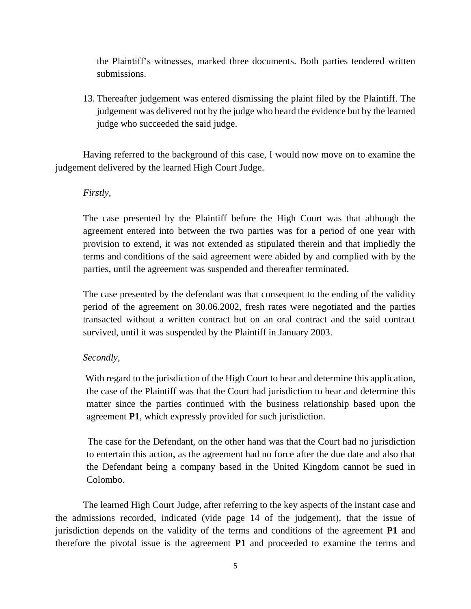the Plaintiff's witnesses, marked three documents. Both parties tendered written submissions.

13. Thereafter judgement was entered dismissing the plaint filed by the Plaintiff. The judgement was delivered not by the judge who heard the evidence but by the learned judge who succeeded the said judge.

Having referred to the background of this case, I would now move on to examine the judgement delivered by the learned High Court Judge.

## *Firstly*,

The case presented by the Plaintiff before the High Court was that although the agreement entered into between the two parties was for a period of one year with provision to extend, it was not extended as stipulated therein and that impliedly the terms and conditions of the said agreement were abided by and complied with by the parties, until the agreement was suspended and thereafter terminated.

The case presented by the defendant was that consequent to the ending of the validity period of the agreement on 30.06.2002, fresh rates were negotiated and the parties transacted without a written contract but on an oral contract and the said contract survived, until it was suspended by the Plaintiff in January 2003.

## *Secondly,*

 With regard to the jurisdiction of the High Court to hear and determine this application, the case of the Plaintiff was that the Court had jurisdiction to hear and determine this matter since the parties continued with the business relationship based upon the agreement **P1**, which expressly provided for such jurisdiction.

 The case for the Defendant, on the other hand was that the Court had no jurisdiction to entertain this action, as the agreement had no force after the due date and also that the Defendant being a company based in the United Kingdom cannot be sued in Colombo.

The learned High Court Judge, after referring to the key aspects of the instant case and the admissions recorded, indicated (vide page 14 of the judgement), that the issue of jurisdiction depends on the validity of the terms and conditions of the agreement **P1** and therefore the pivotal issue is the agreement **P1** and proceeded to examine the terms and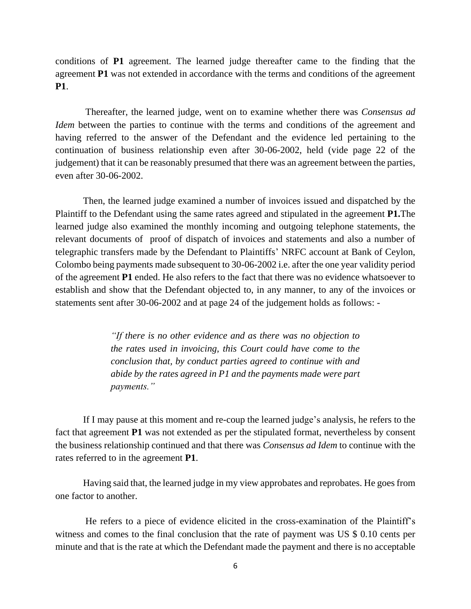conditions of **P1** agreement. The learned judge thereafter came to the finding that the agreement **P1** was not extended in accordance with the terms and conditions of the agreement **P1**.

Thereafter, the learned judge, went on to examine whether there was *Consensus ad Idem* between the parties to continue with the terms and conditions of the agreement and having referred to the answer of the Defendant and the evidence led pertaining to the continuation of business relationship even after 30-06-2002, held (vide page 22 of the judgement) that it can be reasonably presumed that there was an agreement between the parties, even after 30-06-2002.

Then, the learned judge examined a number of invoices issued and dispatched by the Plaintiff to the Defendant using the same rates agreed and stipulated in the agreement **P1.**The learned judge also examined the monthly incoming and outgoing telephone statements, the relevant documents of proof of dispatch of invoices and statements and also a number of telegraphic transfers made by the Defendant to Plaintiffs' NRFC account at Bank of Ceylon, Colombo being payments made subsequent to 30-06-2002 i.e. after the one year validity period of the agreement **P1** ended. He also refers to the fact that there was no evidence whatsoever to establish and show that the Defendant objected to, in any manner, to any of the invoices or statements sent after 30-06-2002 and at page 24 of the judgement holds as follows: -

> *"If there is no other evidence and as there was no objection to the rates used in invoicing, this Court could have come to the conclusion that, by conduct parties agreed to continue with and abide by the rates agreed in P1 and the payments made were part payments."*

If I may pause at this moment and re-coup the learned judge's analysis, he refers to the fact that agreement **P1** was not extended as per the stipulated format, nevertheless by consent the business relationship continued and that there was *Consensus ad Idem* to continue with the rates referred to in the agreement **P1**.

Having said that, the learned judge in my view approbates and reprobates. He goes from one factor to another.

He refers to a piece of evidence elicited in the cross-examination of the Plaintiff's witness and comes to the final conclusion that the rate of payment was US \$ 0.10 cents per minute and that is the rate at which the Defendant made the payment and there is no acceptable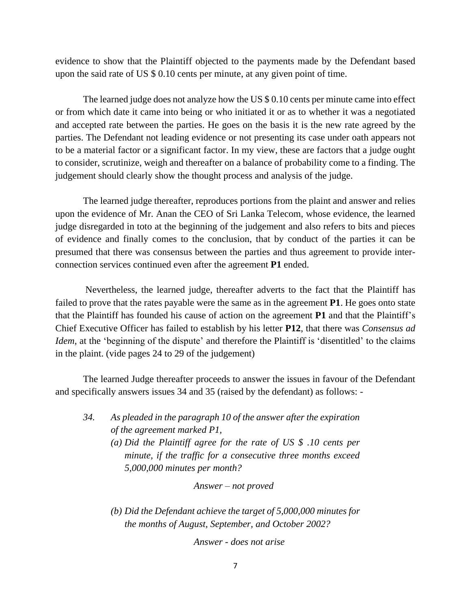evidence to show that the Plaintiff objected to the payments made by the Defendant based upon the said rate of US \$ 0.10 cents per minute, at any given point of time.

The learned judge does not analyze how the US \$ 0.10 cents per minute came into effect or from which date it came into being or who initiated it or as to whether it was a negotiated and accepted rate between the parties. He goes on the basis it is the new rate agreed by the parties. The Defendant not leading evidence or not presenting its case under oath appears not to be a material factor or a significant factor. In my view, these are factors that a judge ought to consider, scrutinize, weigh and thereafter on a balance of probability come to a finding. The judgement should clearly show the thought process and analysis of the judge.

The learned judge thereafter, reproduces portions from the plaint and answer and relies upon the evidence of Mr. Anan the CEO of Sri Lanka Telecom, whose evidence, the learned judge disregarded in toto at the beginning of the judgement and also refers to bits and pieces of evidence and finally comes to the conclusion, that by conduct of the parties it can be presumed that there was consensus between the parties and thus agreement to provide interconnection services continued even after the agreement **P1** ended.

Nevertheless, the learned judge, thereafter adverts to the fact that the Plaintiff has failed to prove that the rates payable were the same as in the agreement **P1**. He goes onto state that the Plaintiff has founded his cause of action on the agreement **P1** and that the Plaintiff's Chief Executive Officer has failed to establish by his letter **P12**, that there was *Consensus ad Idem*, at the 'beginning of the dispute' and therefore the Plaintiff is 'disentitled' to the claims in the plaint. (vide pages 24 to 29 of the judgement)

The learned Judge thereafter proceeds to answer the issues in favour of the Defendant and specifically answers issues 34 and 35 (raised by the defendant) as follows: -

*34. As pleaded in the paragraph 10 of the answer after the expiration of the agreement marked P1, (a) Did the Plaintiff agree for the rate of US \$ .10 cents per minute, if the traffic for a consecutive three months exceed 5,000,000 minutes per month?*

*Answer – not proved* 

*(b) Did the Defendant achieve the target of 5,000,000 minutes for the months of August, September, and October 2002?*

*Answer - does not arise*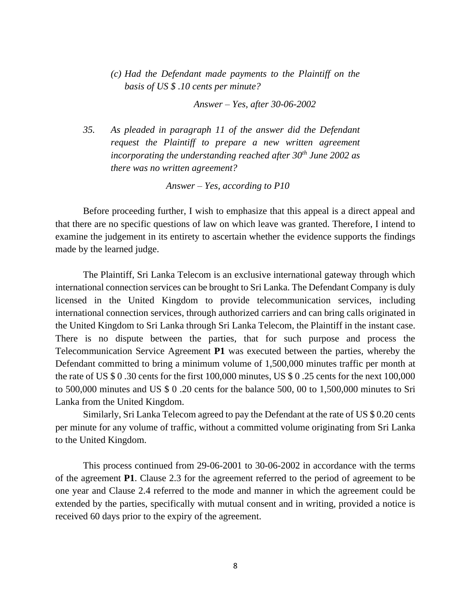*(c) Had the Defendant made payments to the Plaintiff on the basis of US \$ .10 cents per minute?*

*Answer – Yes, after 30-06-2002*

*35. As pleaded in paragraph 11 of the answer did the Defendant request the Plaintiff to prepare a new written agreement incorporating the understanding reached after 30th June 2002 as there was no written agreement?*

*Answer – Yes, according to P10*

Before proceeding further, I wish to emphasize that this appeal is a direct appeal and that there are no specific questions of law on which leave was granted. Therefore, I intend to examine the judgement in its entirety to ascertain whether the evidence supports the findings made by the learned judge.

The Plaintiff, Sri Lanka Telecom is an exclusive international gateway through which international connection services can be brought to Sri Lanka. The Defendant Company is duly licensed in the United Kingdom to provide telecommunication services, including international connection services, through authorized carriers and can bring calls originated in the United Kingdom to Sri Lanka through Sri Lanka Telecom, the Plaintiff in the instant case. There is no dispute between the parties, that for such purpose and process the Telecommunication Service Agreement **P1** was executed between the parties, whereby the Defendant committed to bring a minimum volume of 1,500,000 minutes traffic per month at the rate of US \$ 0 .30 cents for the first 100,000 minutes, US \$ 0 .25 cents for the next 100,000 to 500,000 minutes and US \$ 0 .20 cents for the balance 500, 00 to 1,500,000 minutes to Sri Lanka from the United Kingdom.

Similarly, Sri Lanka Telecom agreed to pay the Defendant at the rate of US \$ 0.20 cents per minute for any volume of traffic, without a committed volume originating from Sri Lanka to the United Kingdom.

This process continued from 29-06-2001 to 30-06-2002 in accordance with the terms of the agreement **P1**. Clause 2.3 for the agreement referred to the period of agreement to be one year and Clause 2.4 referred to the mode and manner in which the agreement could be extended by the parties, specifically with mutual consent and in writing, provided a notice is received 60 days prior to the expiry of the agreement.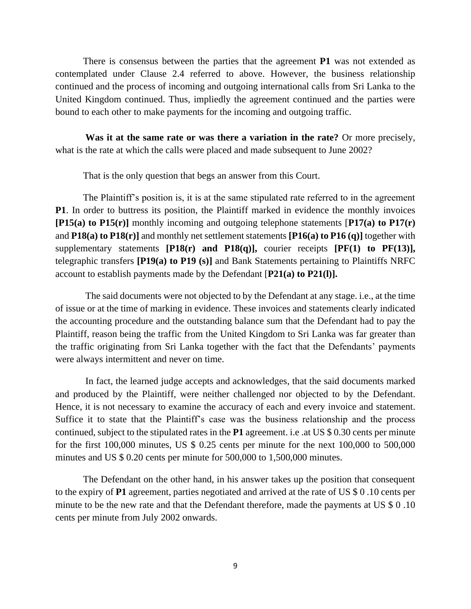There is consensus between the parties that the agreement **P1** was not extended as contemplated under Clause 2.4 referred to above. However, the business relationship continued and the process of incoming and outgoing international calls from Sri Lanka to the United Kingdom continued. Thus, impliedly the agreement continued and the parties were bound to each other to make payments for the incoming and outgoing traffic.

**Was it at the same rate or was there a variation in the rate?** Or more precisely, what is the rate at which the calls were placed and made subsequent to June 2002?

That is the only question that begs an answer from this Court.

The Plaintiff's position is, it is at the same stipulated rate referred to in the agreement **P1**. In order to buttress its position, the Plaintiff marked in evidence the monthly invoices **[P15(a) to P15(r)]** monthly incoming and outgoing telephone statements [**P17(a) to P17(r)** and **P18(a) to P18(r)]** and monthly net settlement statements **[P16(a) to P16 (q)]** together with supplementary statements **[P18(r) and P18(q)],** courier receipts **[PF(1) to PF(13)],** telegraphic transfers **[P19(a) to P19 (s)]** and Bank Statements pertaining to Plaintiffs NRFC account to establish payments made by the Defendant [**P21(a) to P21(l)].**

The said documents were not objected to by the Defendant at any stage. i.e., at the time of issue or at the time of marking in evidence. These invoices and statements clearly indicated the accounting procedure and the outstanding balance sum that the Defendant had to pay the Plaintiff, reason being the traffic from the United Kingdom to Sri Lanka was far greater than the traffic originating from Sri Lanka together with the fact that the Defendants' payments were always intermittent and never on time.

In fact, the learned judge accepts and acknowledges, that the said documents marked and produced by the Plaintiff, were neither challenged nor objected to by the Defendant. Hence, it is not necessary to examine the accuracy of each and every invoice and statement. Suffice it to state that the Plaintiff's case was the business relationship and the process continued, subject to the stipulated rates in the **P1** agreement. i.e .at US \$ 0.30 cents per minute for the first 100,000 minutes, US \$ 0.25 cents per minute for the next 100,000 to 500,000 minutes and US \$ 0.20 cents per minute for 500,000 to 1,500,000 minutes.

The Defendant on the other hand, in his answer takes up the position that consequent to the expiry of **P1** agreement, parties negotiated and arrived at the rate of US \$ 0 .10 cents per minute to be the new rate and that the Defendant therefore, made the payments at US \$ 0 .10 cents per minute from July 2002 onwards.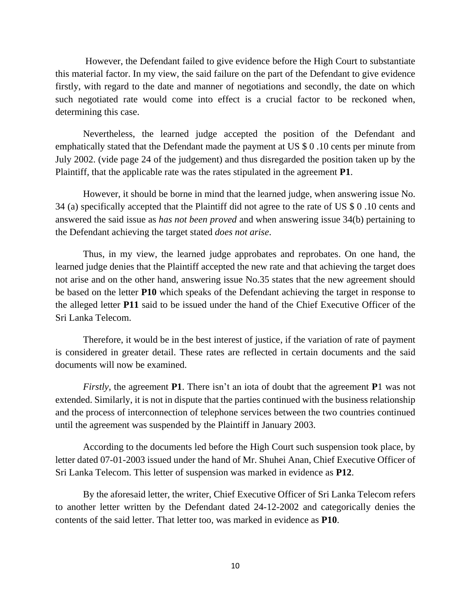However, the Defendant failed to give evidence before the High Court to substantiate this material factor. In my view, the said failure on the part of the Defendant to give evidence firstly, with regard to the date and manner of negotiations and secondly, the date on which such negotiated rate would come into effect is a crucial factor to be reckoned when, determining this case.

Nevertheless, the learned judge accepted the position of the Defendant and emphatically stated that the Defendant made the payment at US \$ 0 .10 cents per minute from July 2002. (vide page 24 of the judgement) and thus disregarded the position taken up by the Plaintiff, that the applicable rate was the rates stipulated in the agreement **P1**.

However, it should be borne in mind that the learned judge, when answering issue No. 34 (a) specifically accepted that the Plaintiff did not agree to the rate of US \$ 0 .10 cents and answered the said issue as *has not been proved* and when answering issue 34(b) pertaining to the Defendant achieving the target stated *does not arise*.

Thus, in my view, the learned judge approbates and reprobates. On one hand, the learned judge denies that the Plaintiff accepted the new rate and that achieving the target does not arise and on the other hand, answering issue No.35 states that the new agreement should be based on the letter **P10** which speaks of the Defendant achieving the target in response to the alleged letter **P11** said to be issued under the hand of the Chief Executive Officer of the Sri Lanka Telecom.

Therefore, it would be in the best interest of justice, if the variation of rate of payment is considered in greater detail. These rates are reflected in certain documents and the said documents will now be examined.

*Firstly,* the agreement **P1**. There isn't an iota of doubt that the agreement **P**1 was not extended. Similarly, it is not in dispute that the parties continued with the business relationship and the process of interconnection of telephone services between the two countries continued until the agreement was suspended by the Plaintiff in January 2003.

According to the documents led before the High Court such suspension took place, by letter dated 07-01-2003 issued under the hand of Mr. Shuhei Anan, Chief Executive Officer of Sri Lanka Telecom. This letter of suspension was marked in evidence as **P12**.

By the aforesaid letter, the writer, Chief Executive Officer of Sri Lanka Telecom refers to another letter written by the Defendant dated 24-12-2002 and categorically denies the contents of the said letter. That letter too, was marked in evidence as **P10**.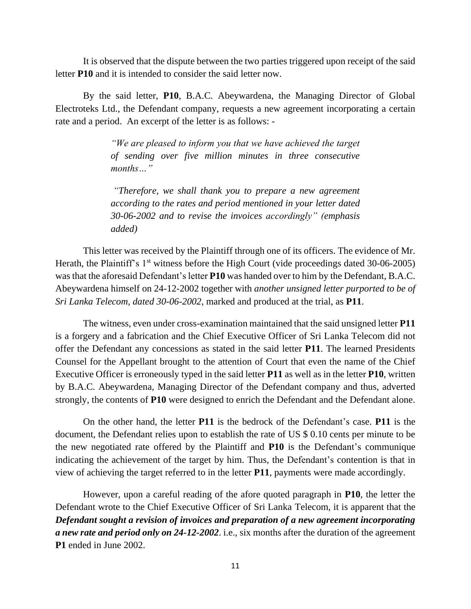It is observed that the dispute between the two parties triggered upon receipt of the said letter **P10** and it is intended to consider the said letter now.

By the said letter, **P10**, B.A.C. Abeywardena, the Managing Director of Global Electroteks Ltd., the Defendant company, requests a new agreement incorporating a certain rate and a period. An excerpt of the letter is as follows: -

> *"We are pleased to inform you that we have achieved the target of sending over five million minutes in three consecutive months…"*

> *"Therefore, we shall thank you to prepare a new agreement according to the rates and period mentioned in your letter dated 30-06-2002 and to revise the invoices accordingly" (emphasis added)*

This letter was received by the Plaintiff through one of its officers. The evidence of Mr. Herath, the Plaintiff's  $1<sup>st</sup>$  witness before the High Court (vide proceedings dated 30-06-2005) was that the aforesaid Defendant's letter **P10** was handed over to him by the Defendant, B.A.C. Abeywardena himself on 24-12-2002 together with *another unsigned letter purported to be of Sri Lanka Telecom, dated 30-06-2002,* marked and produced at the trial, as **P11**.

The witness, even under cross-examination maintained that the said unsigned letter **P11** is a forgery and a fabrication and the Chief Executive Officer of Sri Lanka Telecom did not offer the Defendant any concessions as stated in the said letter **P11**. The learned Presidents Counsel for the Appellant brought to the attention of Court that even the name of the Chief Executive Officer is erroneously typed in the said letter **P11** as well as in the letter **P10**, written by B.A.C. Abeywardena, Managing Director of the Defendant company and thus, adverted strongly, the contents of **P10** were designed to enrich the Defendant and the Defendant alone.

On the other hand, the letter **P11** is the bedrock of the Defendant's case. **P11** is the document, the Defendant relies upon to establish the rate of US \$ 0.10 cents per minute to be the new negotiated rate offered by the Plaintiff and **P10** is the Defendant's communique indicating the achievement of the target by him. Thus, the Defendant's contention is that in view of achieving the target referred to in the letter **P11**, payments were made accordingly.

However, upon a careful reading of the afore quoted paragraph in **P10**, the letter the Defendant wrote to the Chief Executive Officer of Sri Lanka Telecom, it is apparent that the *Defendant sought a revision of invoices and preparation of a new agreement incorporating a new rate and period only on 24-12-2002*. i.e., six months after the duration of the agreement **P1** ended in June 2002.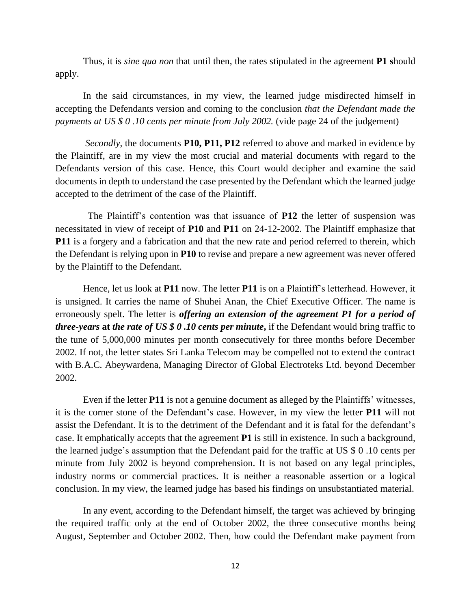Thus, it is *sine qua non* that until then, the rates stipulated in the agreement **P1 s**hould apply.

In the said circumstances, in my view, the learned judge misdirected himself in accepting the Defendants version and coming to the conclusion *that the Defendant made the payments at US \$ 0 .10 cents per minute from July 2002.* (vide page 24 of the judgement)

*Secondly*, the documents **P10, P11, P12** referred to above and marked in evidence by the Plaintiff, are in my view the most crucial and material documents with regard to the Defendants version of this case. Hence, this Court would decipher and examine the said documents in depth to understand the case presented by the Defendant which the learned judge accepted to the detriment of the case of the Plaintiff.

The Plaintiff's contention was that issuance of **P12** the letter of suspension was necessitated in view of receipt of **P10** and **P11** on 24-12-2002. The Plaintiff emphasize that **P11** is a forgery and a fabrication and that the new rate and period referred to therein, which the Defendant is relying upon in **P10** to revise and prepare a new agreement was never offered by the Plaintiff to the Defendant.

Hence, let us look at **P11** now. The letter **P11** is on a Plaintiff's letterhead. However, it is unsigned. It carries the name of Shuhei Anan, the Chief Executive Officer. The name is erroneously spelt. The letter is *offering an extension of the agreement P1 for a period of three-years* **at** *the rate of US \$ 0 .10 cents per minute***,** if the Defendant would bring traffic to the tune of 5,000,000 minutes per month consecutively for three months before December 2002. If not, the letter states Sri Lanka Telecom may be compelled not to extend the contract with B.A.C. Abeywardena, Managing Director of Global Electroteks Ltd. beyond December 2002.

Even if the letter **P11** is not a genuine document as alleged by the Plaintiffs' witnesses, it is the corner stone of the Defendant's case. However, in my view the letter **P11** will not assist the Defendant. It is to the detriment of the Defendant and it is fatal for the defendant's case. It emphatically accepts that the agreement **P1** is still in existence. In such a background, the learned judge's assumption that the Defendant paid for the traffic at US \$ 0 .10 cents per minute from July 2002 is beyond comprehension. It is not based on any legal principles, industry norms or commercial practices. It is neither a reasonable assertion or a logical conclusion. In my view, the learned judge has based his findings on unsubstantiated material.

In any event, according to the Defendant himself, the target was achieved by bringing the required traffic only at the end of October 2002, the three consecutive months being August, September and October 2002. Then, how could the Defendant make payment from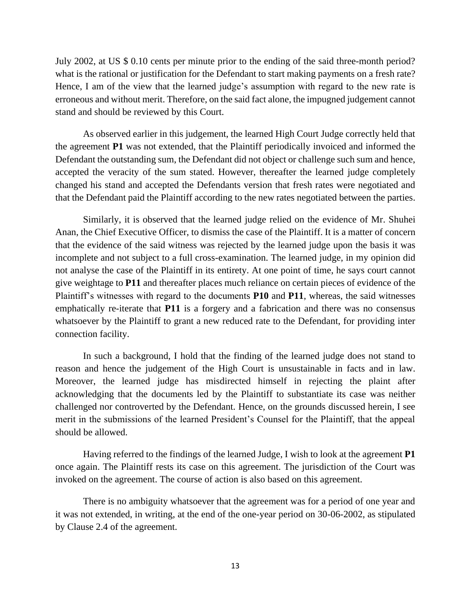July 2002, at US \$ 0.10 cents per minute prior to the ending of the said three-month period? what is the rational or justification for the Defendant to start making payments on a fresh rate? Hence, I am of the view that the learned judge's assumption with regard to the new rate is erroneous and without merit. Therefore, on the said fact alone, the impugned judgement cannot stand and should be reviewed by this Court.

As observed earlier in this judgement, the learned High Court Judge correctly held that the agreement **P1** was not extended, that the Plaintiff periodically invoiced and informed the Defendant the outstanding sum, the Defendant did not object or challenge such sum and hence, accepted the veracity of the sum stated. However, thereafter the learned judge completely changed his stand and accepted the Defendants version that fresh rates were negotiated and that the Defendant paid the Plaintiff according to the new rates negotiated between the parties.

Similarly, it is observed that the learned judge relied on the evidence of Mr. Shuhei Anan, the Chief Executive Officer, to dismiss the case of the Plaintiff. It is a matter of concern that the evidence of the said witness was rejected by the learned judge upon the basis it was incomplete and not subject to a full cross-examination. The learned judge, in my opinion did not analyse the case of the Plaintiff in its entirety. At one point of time, he says court cannot give weightage to **P11** and thereafter places much reliance on certain pieces of evidence of the Plaintiff's witnesses with regard to the documents **P10** and **P11**, whereas, the said witnesses emphatically re-iterate that **P11** is a forgery and a fabrication and there was no consensus whatsoever by the Plaintiff to grant a new reduced rate to the Defendant, for providing inter connection facility.

In such a background, I hold that the finding of the learned judge does not stand to reason and hence the judgement of the High Court is unsustainable in facts and in law. Moreover, the learned judge has misdirected himself in rejecting the plaint after acknowledging that the documents led by the Plaintiff to substantiate its case was neither challenged nor controverted by the Defendant. Hence, on the grounds discussed herein, I see merit in the submissions of the learned President's Counsel for the Plaintiff, that the appeal should be allowed.

Having referred to the findings of the learned Judge, I wish to look at the agreement **P1** once again. The Plaintiff rests its case on this agreement. The jurisdiction of the Court was invoked on the agreement. The course of action is also based on this agreement.

There is no ambiguity whatsoever that the agreement was for a period of one year and it was not extended, in writing, at the end of the one-year period on 30-06-2002, as stipulated by Clause 2.4 of the agreement.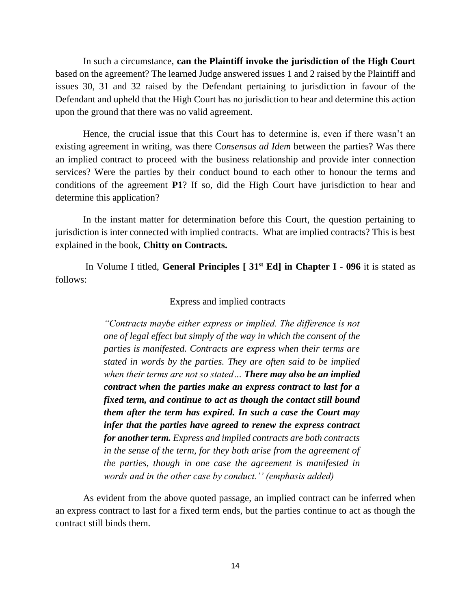In such a circumstance, **can the Plaintiff invoke the jurisdiction of the High Court** based on the agreement? The learned Judge answered issues 1 and 2 raised by the Plaintiff and issues 30, 31 and 32 raised by the Defendant pertaining to jurisdiction in favour of the Defendant and upheld that the High Court has no jurisdiction to hear and determine this action upon the ground that there was no valid agreement.

Hence, the crucial issue that this Court has to determine is, even if there wasn't an existing agreement in writing, was there C*onsensus ad Idem* between the parties? Was there an implied contract to proceed with the business relationship and provide inter connection services? Were the parties by their conduct bound to each other to honour the terms and conditions of the agreement **P1**? If so, did the High Court have jurisdiction to hear and determine this application?

In the instant matter for determination before this Court, the question pertaining to jurisdiction is inter connected with implied contracts. What are implied contracts? This is best explained in the book, **Chitty on Contracts.**

In Volume I titled, **General Principles [ 31st Ed] in Chapter I - 096** it is stated as follows:

### Express and implied contracts

*"Contracts maybe either express or implied. The difference is not one of legal effect but simply of the way in which the consent of the parties is manifested. Contracts are express when their terms are stated in words by the parties. They are often said to be implied when their terms are not so stated… There may also be an implied contract when the parties make an express contract to last for a fixed term, and continue to act as though the contact still bound them after the term has expired. In such a case the Court may infer that the parties have agreed to renew the express contract for another term. Express and implied contracts are both contracts in the sense of the term, for they both arise from the agreement of the parties, though in one case the agreement is manifested in words and in the other case by conduct.'' (emphasis added)*

As evident from the above quoted passage, an implied contract can be inferred when an express contract to last for a fixed term ends, but the parties continue to act as though the contract still binds them.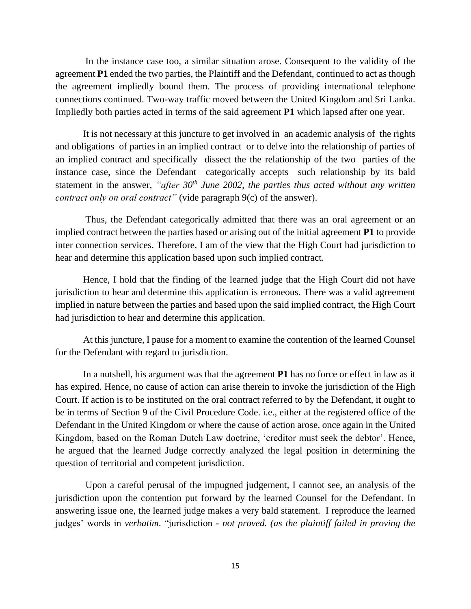In the instance case too, a similar situation arose. Consequent to the validity of the agreement **P1** ended the two parties, the Plaintiff and the Defendant, continued to act as though the agreement impliedly bound them. The process of providing international telephone connections continued. Two-way traffic moved between the United Kingdom and Sri Lanka. Impliedly both parties acted in terms of the said agreement **P1** which lapsed after one year.

It is not necessary at this juncture to get involved in an academic analysis of the rights and obligations of parties in an implied contract or to delve into the relationship of parties of an implied contract and specifically dissect the the relationship of the two parties of the instance case, since the Defendant categorically accepts such relationship by its bald statement in the answer, *"after 30th June 2002, the parties thus acted without any written contract only on oral contract*" (vide paragraph 9(c) of the answer).

Thus, the Defendant categorically admitted that there was an oral agreement or an implied contract between the parties based or arising out of the initial agreement **P1** to provide inter connection services. Therefore, I am of the view that the High Court had jurisdiction to hear and determine this application based upon such implied contract.

Hence, I hold that the finding of the learned judge that the High Court did not have jurisdiction to hear and determine this application is erroneous. There was a valid agreement implied in nature between the parties and based upon the said implied contract, the High Court had jurisdiction to hear and determine this application.

At this juncture, I pause for a moment to examine the contention of the learned Counsel for the Defendant with regard to jurisdiction.

In a nutshell, his argument was that the agreement **P1** has no force or effect in law as it has expired. Hence, no cause of action can arise therein to invoke the jurisdiction of the High Court. If action is to be instituted on the oral contract referred to by the Defendant, it ought to be in terms of Section 9 of the Civil Procedure Code. i.e., either at the registered office of the Defendant in the United Kingdom or where the cause of action arose, once again in the United Kingdom, based on the Roman Dutch Law doctrine, 'creditor must seek the debtor'. Hence, he argued that the learned Judge correctly analyzed the legal position in determining the question of territorial and competent jurisdiction.

Upon a careful perusal of the impugned judgement, I cannot see, an analysis of the jurisdiction upon the contention put forward by the learned Counsel for the Defendant. In answering issue one, the learned judge makes a very bald statement. I reproduce the learned judges' words in *verbatim*. "jurisdiction *- not proved. (as the plaintiff failed in proving the*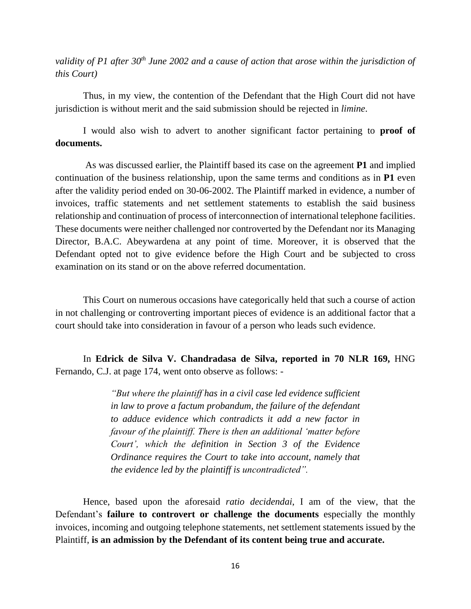*validity of P1 after 30th June 2002 and a cause of action that arose within the jurisdiction of this Court)*

Thus, in my view, the contention of the Defendant that the High Court did not have jurisdiction is without merit and the said submission should be rejected in *limine*.

I would also wish to advert to another significant factor pertaining to **proof of documents.**

As was discussed earlier, the Plaintiff based its case on the agreement **P1** and implied continuation of the business relationship, upon the same terms and conditions as in **P1** even after the validity period ended on 30-06-2002. The Plaintiff marked in evidence, a number of invoices, traffic statements and net settlement statements to establish the said business relationship and continuation of process of interconnection of international telephone facilities. These documents were neither challenged nor controverted by the Defendant nor its Managing Director, B.A.C. Abeywardena at any point of time. Moreover, it is observed that the Defendant opted not to give evidence before the High Court and be subjected to cross examination on its stand or on the above referred documentation.

This Court on numerous occasions have categorically held that such a course of action in not challenging or controverting important pieces of evidence is an additional factor that a court should take into consideration in favour of a person who leads such evidence.

In **Edrick de Silva V. Chandradasa de Silva, reported in 70 NLR 169,** HNG Fernando, C.J. at page 174, went onto observe as follows: -

> *"But where the plaintiff has in a civil case led evidence sufficient in law to prove a factum probandum, the failure of the defendant to adduce evidence which contradicts it add a new factor in favour of the plaintiff. There is then an additional 'matter before Court', which the definition in Section 3 of the Evidence Ordinance requires the Court to take into account, namely that the evidence led by the plaintiff is uncontradicted".*

Hence, based upon the aforesaid *ratio decidendai*, I am of the view, that the Defendant's **failure to controvert or challenge the documents** especially the monthly invoices, incoming and outgoing telephone statements, net settlement statements issued by the Plaintiff, **is an admission by the Defendant of its content being true and accurate.**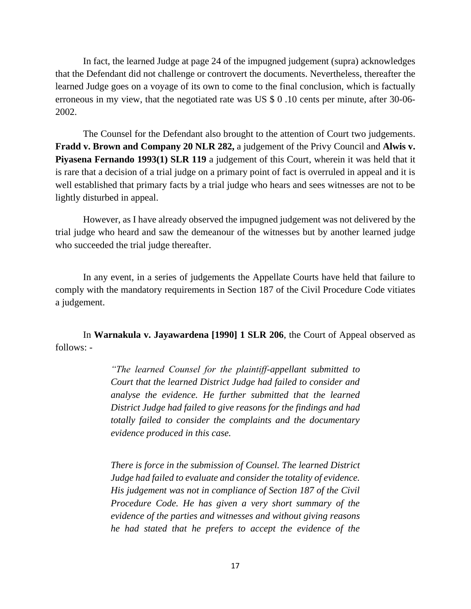In fact, the learned Judge at page 24 of the impugned judgement (supra) acknowledges that the Defendant did not challenge or controvert the documents. Nevertheless, thereafter the learned Judge goes on a voyage of its own to come to the final conclusion, which is factually erroneous in my view, that the negotiated rate was US \$ 0 .10 cents per minute, after 30-06- 2002.

The Counsel for the Defendant also brought to the attention of Court two judgements. **Fradd v. Brown and Company 20 NLR 282,** a judgement of the Privy Council and **Alwis v. Piyasena Fernando 1993(1) SLR 119** a judgement of this Court, wherein it was held that it is rare that a decision of a trial judge on a primary point of fact is overruled in appeal and it is well established that primary facts by a trial judge who hears and sees witnesses are not to be lightly disturbed in appeal.

However, as I have already observed the impugned judgement was not delivered by the trial judge who heard and saw the demeanour of the witnesses but by another learned judge who succeeded the trial judge thereafter.

In any event, in a series of judgements the Appellate Courts have held that failure to comply with the mandatory requirements in Section 187 of the Civil Procedure Code vitiates a judgement.

In **Warnakula v. Jayawardena [1990] 1 SLR 206**, the Court of Appeal observed as follows: -

> *"The learned Counsel for the plaintiff-appellant submitted to Court that the learned District Judge had failed to consider and analyse the evidence. He further submitted that the learned District Judge had failed to give reasons for the findings and had totally failed to consider the complaints and the documentary evidence produced in this case.*

> *There is force in the submission of Counsel. The learned District Judge had failed to evaluate and consider the totality of evidence. His judgement was not in compliance of Section 187 of the Civil Procedure Code. He has given a very short summary of the evidence of the parties and witnesses and without giving reasons he had stated that he prefers to accept the evidence of the*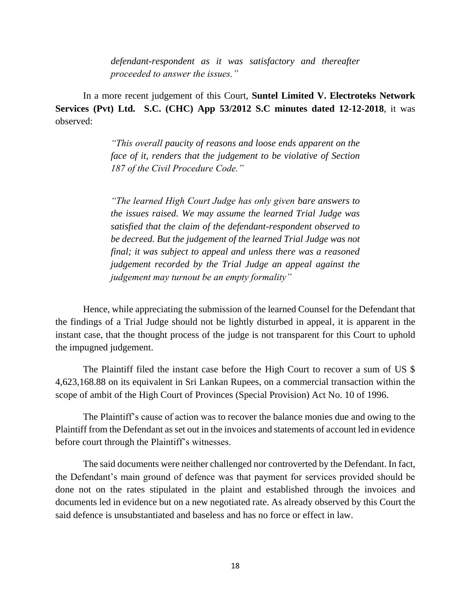*defendant-respondent as it was satisfactory and thereafter proceeded to answer the issues."*

In a more recent judgement of this Court, **Suntel Limited V. Electroteks Network Services (Pvt) Ltd. S.C. (CHC) App 53/2012 S.C minutes dated 12-12-2018**, it was observed:

> *"This overall paucity of reasons and loose ends apparent on the face of it, renders that the judgement to be violative of Section 187 of the Civil Procedure Code."*

> *"The learned High Court Judge has only given bare answers to the issues raised. We may assume the learned Trial Judge was satisfied that the claim of the defendant-respondent observed to be decreed. But the judgement of the learned Trial Judge was not final; it was subject to appeal and unless there was a reasoned judgement recorded by the Trial Judge an appeal against the judgement may turnout be an empty formality"*

Hence, while appreciating the submission of the learned Counsel for the Defendant that the findings of a Trial Judge should not be lightly disturbed in appeal, it is apparent in the instant case, that the thought process of the judge is not transparent for this Court to uphold the impugned judgement.

The Plaintiff filed the instant case before the High Court to recover a sum of US \$ 4,623,168.88 on its equivalent in Sri Lankan Rupees, on a commercial transaction within the scope of ambit of the High Court of Provinces (Special Provision) Act No. 10 of 1996.

The Plaintiff's cause of action was to recover the balance monies due and owing to the Plaintiff from the Defendant as set out in the invoices and statements of account led in evidence before court through the Plaintiff's witnesses.

The said documents were neither challenged nor controverted by the Defendant. In fact, the Defendant's main ground of defence was that payment for services provided should be done not on the rates stipulated in the plaint and established through the invoices and documents led in evidence but on a new negotiated rate. As already observed by this Court the said defence is unsubstantiated and baseless and has no force or effect in law.